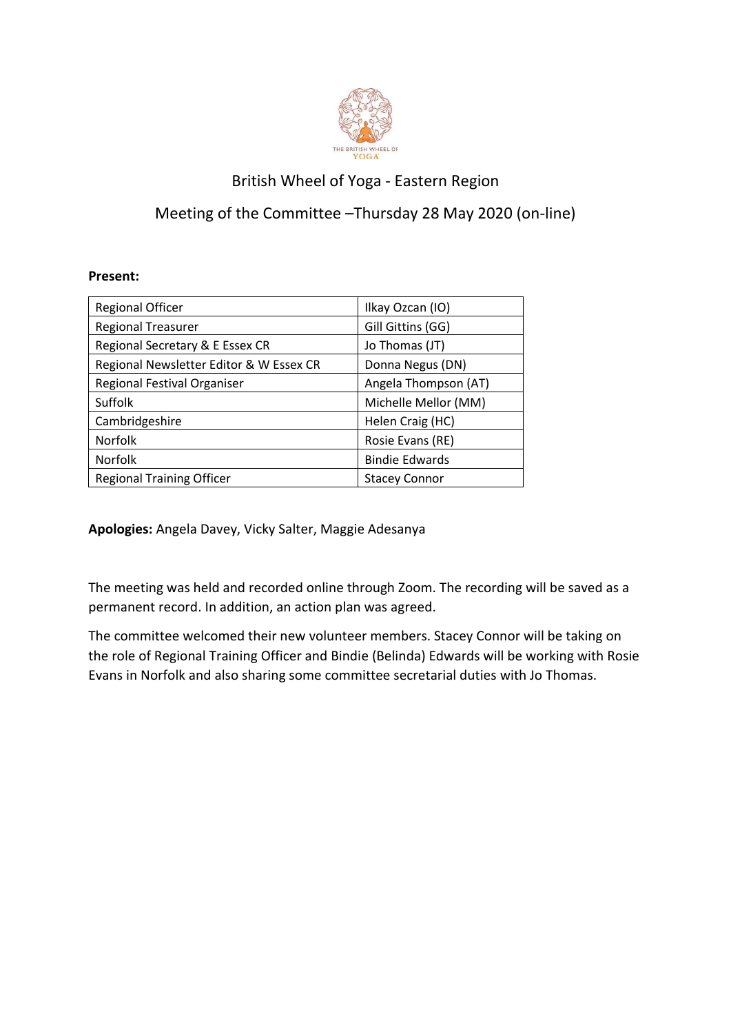

## British Wheel of Yoga - Eastern Region

## Meeting of the Committee –Thursday 28 May 2020 (on-line)

## **Present:**

| <b>Regional Officer</b>                 | Ilkay Ozcan (IO)      |
|-----------------------------------------|-----------------------|
| <b>Regional Treasurer</b>               | Gill Gittins (GG)     |
| Regional Secretary & E Essex CR         | Jo Thomas (JT)        |
| Regional Newsletter Editor & W Essex CR | Donna Negus (DN)      |
| Regional Festival Organiser             | Angela Thompson (AT)  |
| Suffolk                                 | Michelle Mellor (MM)  |
| Cambridgeshire                          | Helen Craig (HC)      |
| Norfolk                                 | Rosie Evans (RE)      |
| Norfolk                                 | <b>Bindie Edwards</b> |
| <b>Regional Training Officer</b>        | <b>Stacey Connor</b>  |

**Apologies:** Angela Davey, Vicky Salter, Maggie Adesanya

The meeting was held and recorded online through Zoom. The recording will be saved as a permanent record. In addition, an action plan was agreed.

The committee welcomed their new volunteer members. Stacey Connor will be taking on the role of Regional Training Officer and Bindie (Belinda) Edwards will be working with Rosie Evans in Norfolk and also sharing some committee secretarial duties with Jo Thomas.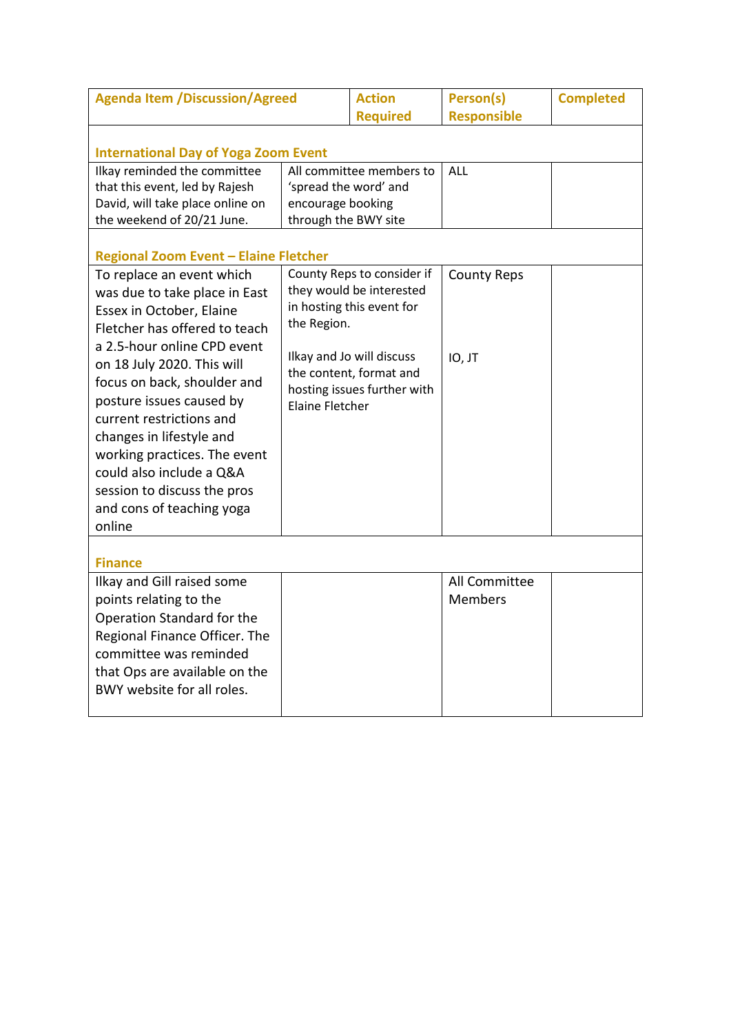| <b>Agenda Item /Discussion/Agreed</b>                                                                                                                                                                                                                                                                                                                                                                                                                                                     |                                                                                                                                                                                                                     | <b>Action</b><br><b>Required</b> | Person(s)<br><b>Responsible</b> | <b>Completed</b> |
|-------------------------------------------------------------------------------------------------------------------------------------------------------------------------------------------------------------------------------------------------------------------------------------------------------------------------------------------------------------------------------------------------------------------------------------------------------------------------------------------|---------------------------------------------------------------------------------------------------------------------------------------------------------------------------------------------------------------------|----------------------------------|---------------------------------|------------------|
| <b>International Day of Yoga Zoom Event</b>                                                                                                                                                                                                                                                                                                                                                                                                                                               |                                                                                                                                                                                                                     |                                  |                                 |                  |
| Ilkay reminded the committee<br>that this event, led by Rajesh<br>David, will take place online on<br>the weekend of 20/21 June.                                                                                                                                                                                                                                                                                                                                                          | All committee members to<br>'spread the word' and<br>encourage booking<br>through the BWY site                                                                                                                      |                                  | <b>ALL</b>                      |                  |
| <b>Regional Zoom Event - Elaine Fletcher</b><br>To replace an event which<br>was due to take place in East<br>Essex in October, Elaine<br>Fletcher has offered to teach<br>a 2.5-hour online CPD event<br>on 18 July 2020. This will<br>focus on back, shoulder and<br>posture issues caused by<br>current restrictions and<br>changes in lifestyle and<br>working practices. The event<br>could also include a Q&A<br>session to discuss the pros<br>and cons of teaching yoga<br>online | County Reps to consider if<br>they would be interested<br>in hosting this event for<br>the Region.<br>Ilkay and Jo will discuss<br>the content, format and<br>hosting issues further with<br><b>Elaine Fletcher</b> |                                  | <b>County Reps</b><br>IO, JT    |                  |
| <b>Finance</b>                                                                                                                                                                                                                                                                                                                                                                                                                                                                            |                                                                                                                                                                                                                     |                                  |                                 |                  |
| Ilkay and Gill raised some<br>points relating to the<br>Operation Standard for the<br>Regional Finance Officer. The<br>committee was reminded<br>that Ops are available on the<br>BWY website for all roles.                                                                                                                                                                                                                                                                              |                                                                                                                                                                                                                     |                                  | All Committee<br><b>Members</b> |                  |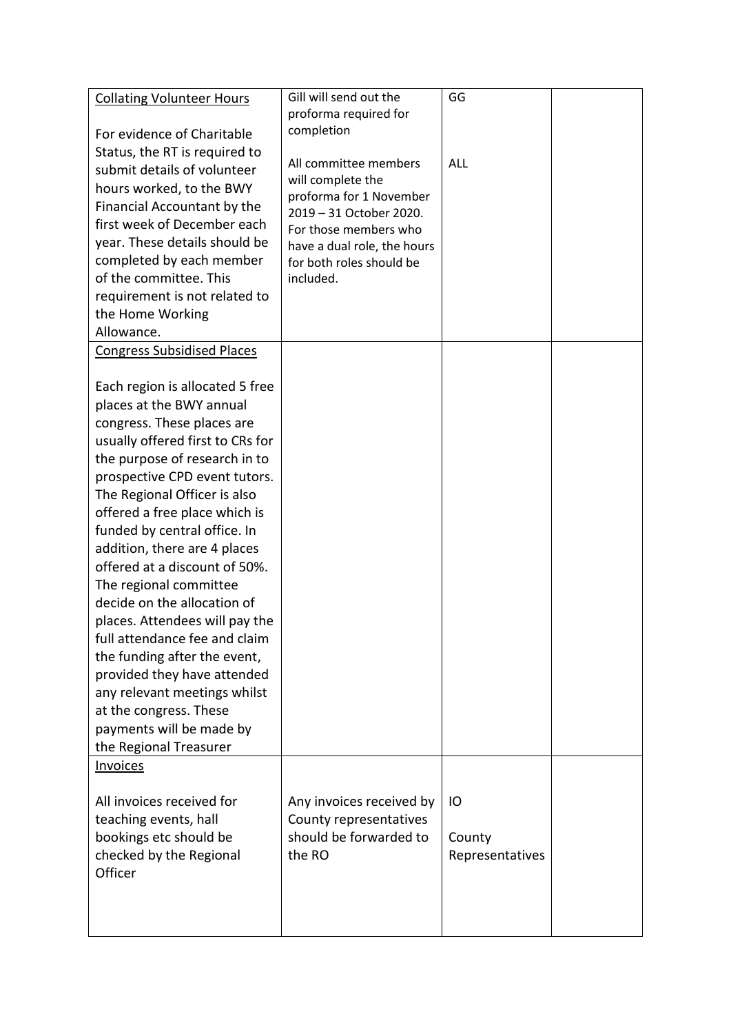| <b>Collating Volunteer Hours</b>                               | Gill will send out the                                  | GG              |  |
|----------------------------------------------------------------|---------------------------------------------------------|-----------------|--|
|                                                                | proforma required for                                   |                 |  |
| For evidence of Charitable                                     | completion                                              |                 |  |
| Status, the RT is required to<br>submit details of volunteer   | All committee members                                   | ALL             |  |
| hours worked, to the BWY                                       | will complete the                                       |                 |  |
| Financial Accountant by the                                    | proforma for 1 November                                 |                 |  |
| first week of December each                                    | 2019 - 31 October 2020.                                 |                 |  |
| year. These details should be                                  | For those members who                                   |                 |  |
| completed by each member                                       | have a dual role, the hours<br>for both roles should be |                 |  |
| of the committee. This                                         | included.                                               |                 |  |
| requirement is not related to                                  |                                                         |                 |  |
| the Home Working                                               |                                                         |                 |  |
| Allowance.                                                     |                                                         |                 |  |
| <b>Congress Subsidised Places</b>                              |                                                         |                 |  |
|                                                                |                                                         |                 |  |
| Each region is allocated 5 free                                |                                                         |                 |  |
| places at the BWY annual                                       |                                                         |                 |  |
| congress. These places are                                     |                                                         |                 |  |
| usually offered first to CRs for                               |                                                         |                 |  |
| the purpose of research in to<br>prospective CPD event tutors. |                                                         |                 |  |
| The Regional Officer is also                                   |                                                         |                 |  |
| offered a free place which is                                  |                                                         |                 |  |
| funded by central office. In                                   |                                                         |                 |  |
| addition, there are 4 places                                   |                                                         |                 |  |
| offered at a discount of 50%.                                  |                                                         |                 |  |
| The regional committee                                         |                                                         |                 |  |
| decide on the allocation of                                    |                                                         |                 |  |
| places. Attendees will pay the                                 |                                                         |                 |  |
| full attendance fee and claim                                  |                                                         |                 |  |
| the funding after the event,                                   |                                                         |                 |  |
| provided they have attended                                    |                                                         |                 |  |
| any relevant meetings whilst                                   |                                                         |                 |  |
| at the congress. These                                         |                                                         |                 |  |
| payments will be made by<br>the Regional Treasurer             |                                                         |                 |  |
| Invoices                                                       |                                                         |                 |  |
|                                                                |                                                         |                 |  |
| All invoices received for                                      | Any invoices received by                                | IO              |  |
| teaching events, hall                                          | County representatives                                  |                 |  |
| bookings etc should be                                         | should be forwarded to                                  | County          |  |
| checked by the Regional                                        | the RO                                                  | Representatives |  |
| Officer                                                        |                                                         |                 |  |
|                                                                |                                                         |                 |  |
|                                                                |                                                         |                 |  |
|                                                                |                                                         |                 |  |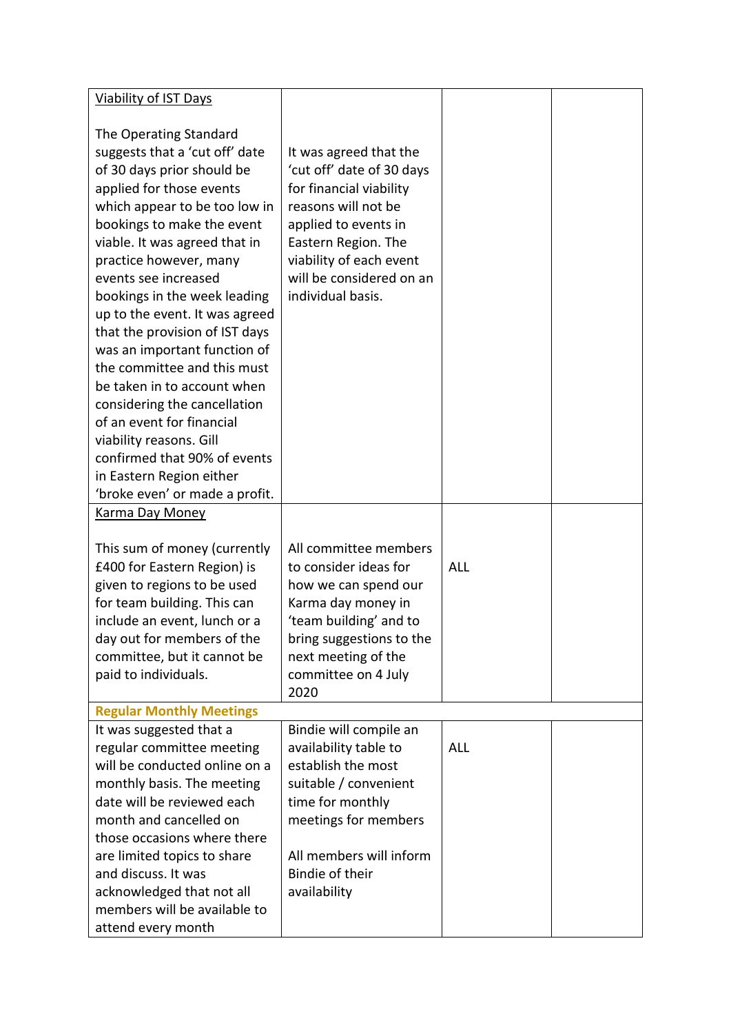| <b>Viability of IST Days</b>                                                                                                                                                                                                                                                                                                                                                                                                                                                                                                                                                                                               |                                                                                                                                                                                                                                  |            |  |
|----------------------------------------------------------------------------------------------------------------------------------------------------------------------------------------------------------------------------------------------------------------------------------------------------------------------------------------------------------------------------------------------------------------------------------------------------------------------------------------------------------------------------------------------------------------------------------------------------------------------------|----------------------------------------------------------------------------------------------------------------------------------------------------------------------------------------------------------------------------------|------------|--|
| The Operating Standard<br>suggests that a 'cut off' date<br>of 30 days prior should be<br>applied for those events<br>which appear to be too low in<br>bookings to make the event<br>viable. It was agreed that in<br>practice however, many<br>events see increased<br>bookings in the week leading<br>up to the event. It was agreed<br>that the provision of IST days<br>was an important function of<br>the committee and this must<br>be taken in to account when<br>considering the cancellation<br>of an event for financial<br>viability reasons. Gill<br>confirmed that 90% of events<br>in Eastern Region either | It was agreed that the<br>'cut off' date of 30 days<br>for financial viability<br>reasons will not be<br>applied to events in<br>Eastern Region. The<br>viability of each event<br>will be considered on an<br>individual basis. |            |  |
| 'broke even' or made a profit.                                                                                                                                                                                                                                                                                                                                                                                                                                                                                                                                                                                             |                                                                                                                                                                                                                                  |            |  |
| <b>Karma Day Money</b><br>This sum of money (currently<br>£400 for Eastern Region) is<br>given to regions to be used<br>for team building. This can                                                                                                                                                                                                                                                                                                                                                                                                                                                                        | All committee members<br>to consider ideas for<br>how we can spend our<br>Karma day money in                                                                                                                                     | <b>ALL</b> |  |
| include an event, lunch or a<br>day out for members of the<br>committee, but it cannot be<br>paid to individuals.                                                                                                                                                                                                                                                                                                                                                                                                                                                                                                          | 'team building' and to<br>bring suggestions to the<br>next meeting of the<br>committee on 4 July<br>2020                                                                                                                         |            |  |
| <b>Regular Monthly Meetings</b>                                                                                                                                                                                                                                                                                                                                                                                                                                                                                                                                                                                            |                                                                                                                                                                                                                                  |            |  |
| It was suggested that a<br>regular committee meeting<br>will be conducted online on a<br>monthly basis. The meeting<br>date will be reviewed each<br>month and cancelled on<br>those occasions where there                                                                                                                                                                                                                                                                                                                                                                                                                 | Bindie will compile an<br>availability table to<br>establish the most<br>suitable / convenient<br>time for monthly<br>meetings for members                                                                                       | <b>ALL</b> |  |
| are limited topics to share<br>and discuss. It was<br>acknowledged that not all<br>members will be available to<br>attend every month                                                                                                                                                                                                                                                                                                                                                                                                                                                                                      | All members will inform<br>Bindie of their<br>availability                                                                                                                                                                       |            |  |